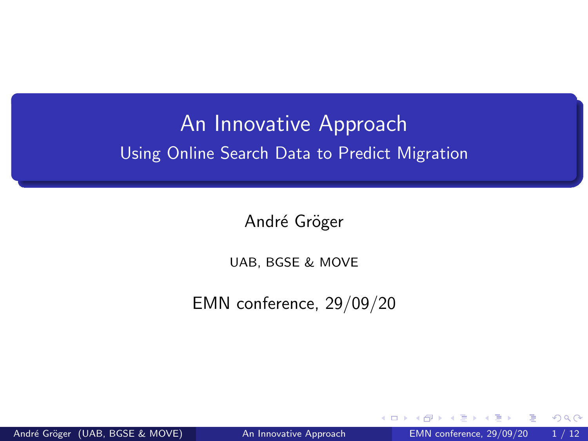## <span id="page-0-0"></span>An Innovative Approach Using Online Search Data to Predict Migration

André Gröger

UAB, BGSE & MOVE

EMN conference, 29/09/20

4 0 8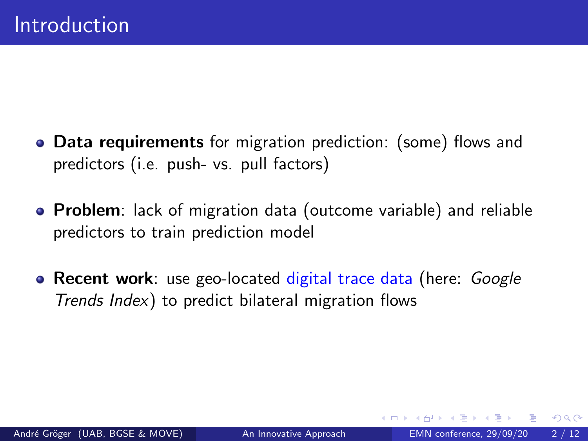- **Data requirements** for migration prediction: (some) flows and predictors (i.e. push- vs. pull factors)
- **Problem**: lack of migration data (outcome variable) and reliable predictors to train prediction model
- Recent work: use geo-located digital trace data (here: Google Trends Index) to predict bilateral migration flows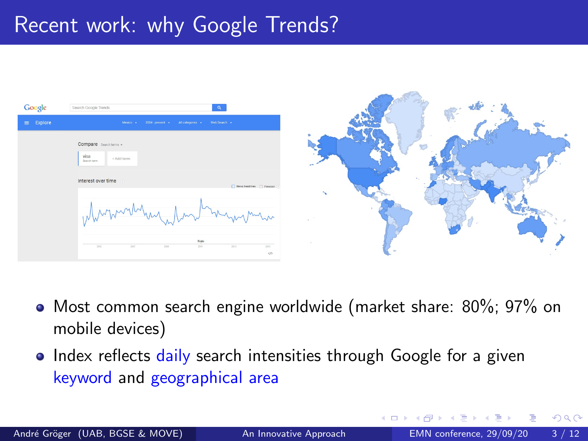## Recent work: why Google Trends?





- Most common search engine worldwide (market share: 80%; 97% on mobile devices)
- Index reflects daily search intensities through Google for a given keyword and geographical area

つひい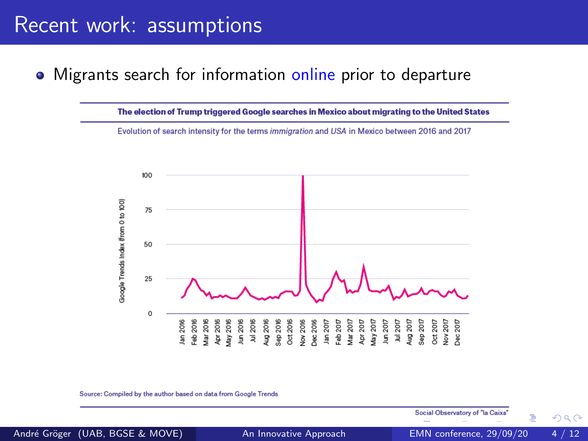### Recent work: assumptions

### • Migrants search for information online prior to departure

The election of Trump triggered Google searches in Mexico about migrating to the United States Evolution of search intensity for the terms immigration and USA in Mexico between 2016 and 2017 100 aoogle Trends Index (from 0 to 100) 75 50 25  $\Omega$ 012.2016<br>1990 2016 2017<br>1990 2017 2017 2017 2018 3017<br>1990 2017 2017 302 303 304<br>1990 3017 302 303 304<br>1990 3017 302 305<br>1990 3017 302 305<br>1990 302 305 Jan 2016 Feb 2016 Aar 2016 Apr 2016 Aug 2016 day 2016  $\mu$ m 2016  $1<sub>u</sub> = 2016$  $\epsilon$ iep 2016

Source: Compiled by the author based on data from Google Trends

Social Observatory of "la Caixa"

André Gröser (UAB, BGSE & MOVE) ([An Innovative Approach](#page-0-0) EMN conference, 29/09/20 4/12

 $\Omega$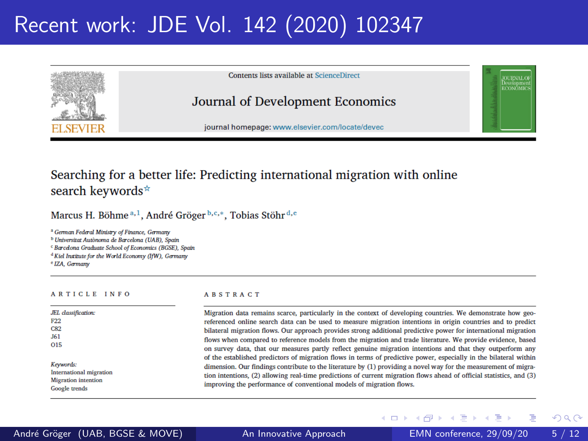# Recent work: JDE Vol. 142 (2020) 102347



Contents lists available at ScienceDirect

### Journal of Development Economics

journal homepage: www.elsevier.com/locate/devec

### Searching for a better life: Predicting international migration with online search keywords<sup>\*</sup>

Marcus H. Böhme<sup>a, 1</sup>, André Gröger<sup>b, c,\*</sup>, Tobias Stöhr<sup>d, e</sup>

<sup>a</sup> German Federal Ministry of Finance, Germany

<sup>b</sup> Universitat Autònoma de Barcelona (UAB). Spain

<sup>c</sup> Barcelona Graduate School of Economics (BGSE), Spain

<sup>d</sup> Kiel Institute for the World Economy (IfW), Germany

<sup>e</sup> IZA. Germany

 $\overline{\phantom{0}}$ Л

Ē

C

J)

 $\overline{O}$ 

K

Ir<br>N

Ġ

#### ARTICLE INFO

#### **ABSTRACT**

**← ロ → → ← 何 →** 

| L classification:     | Migration data remains scarce, particularly in the context of developing countries. We demonstrate how s         |
|-----------------------|------------------------------------------------------------------------------------------------------------------|
| 22                    | referenced online search data can be used to measure migration intentions in origin countries and to pre-        |
| 82                    | bilateral migration flows. Our approach provides strong additional predictive power for international migrat     |
| 51                    | flows when compared to reference models from the migration and trade literature. We provide evidence, ba         |
| 15                    | on survey data, that our measures partly reflect genuine migration intentions and that they outperform           |
|                       | of the established predictors of migration flows in terms of predictive power, especially in the bilateral wit   |
| evwords:              | dimension. Our findings contribute to the literature by (1) providing a novel way for the measurement of mij     |
| ternational migration | tion intentions, (2) allowing real-time predictions of current migration flows ahead of official statistics, and |
| igration intention    | improving the performance of conventional models of migration flows.                                             |
| oogle trends          |                                                                                                                  |

**LIevelopme**<br>ECONOMIC

Þ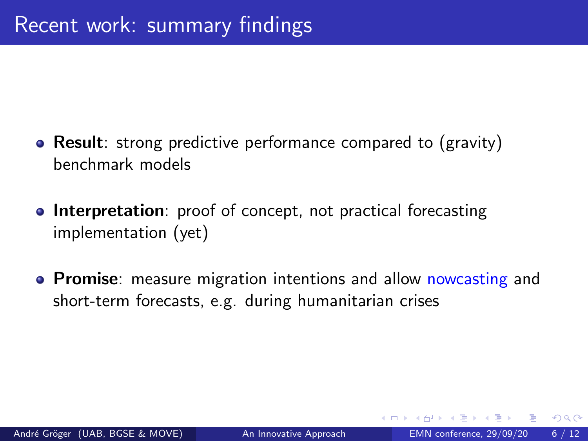- Result: strong predictive performance compared to (gravity) benchmark models
- **Interpretation**: proof of concept, not practical forecasting implementation (yet)
- **Promise**: measure migration intentions and allow nowcasting and short-term forecasts, e.g. during humanitarian crises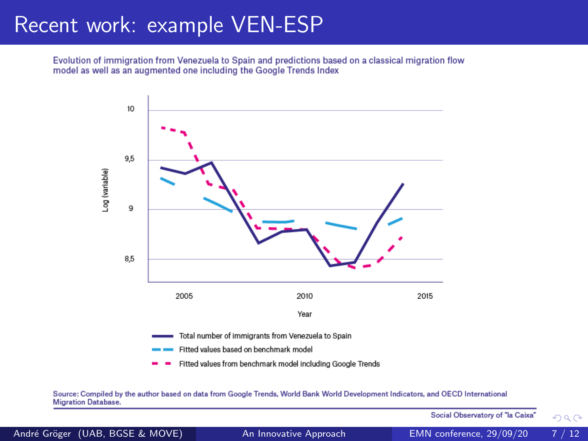## Recent work: example VEN-ESP

Evolution of immigration from Venezuela to Spain and predictions based on a classical migration flow model as well as an augmented one including the Google Trends Index



### Source: Compiled by the author based on data from Google Trends, World Bank World Development Indicators, and OECD International **Migration Database**

| $\cdots$                        |                        |                                                                                                 |      |
|---------------------------------|------------------------|-------------------------------------------------------------------------------------------------|------|
|                                 |                        | Social Observatory of "Ia Caixa" $\qquad \qquad \mathop{\text{mod}}\nolimits \alpha \; \sim \;$ |      |
| André Gröger (UAB, BGSE & MOVE) | An Innovative Approach | EMN conference, 29/09/20                                                                        | 7/12 |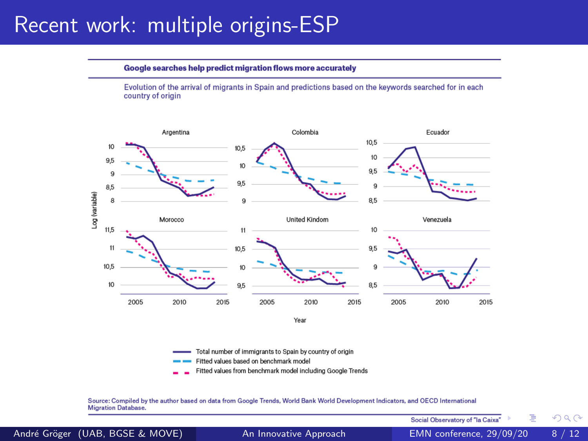### Recent work: multiple origins-ESP

Google searches help predict migration flows more accurately

Evolution of the arrival of migrants in Spain and predictions based on the keywords searched for in each country of origin



Total number of immigrants to Spain by country of origin

- Fitted values based on benchmark model
- Fitted values from benchmark model including Google Trends

Source: Compiled by the author based on data from Google Trends, World Bank World Development Indicators, and OECD International Migration Database.

 $QQ$ 

Þ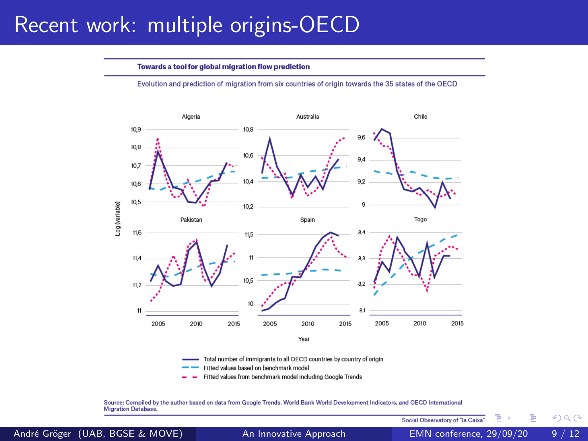## Recent work: multiple origins-OECD

#### Towards a tool for global migration flow prediction

Evolution and prediction of migration from six countries of origin towards the 35 states of the OECD



Total number of immigrants to all OECD countries by country of origin

- Fitted values based on benchmark model
- Fitted values from benchmark model including Google Trends

Source: Compiled by the author based on data from Google Trends, World Bank World Development Indicators, and OECD International **Migration Database** 

André Gröger (UAB, BGSE & MOVE) ([An Innovative Approach](#page-0-0) EMN conference, 29/09/20 9/12

Social Observatory of "la Caixa"

 $\Omega$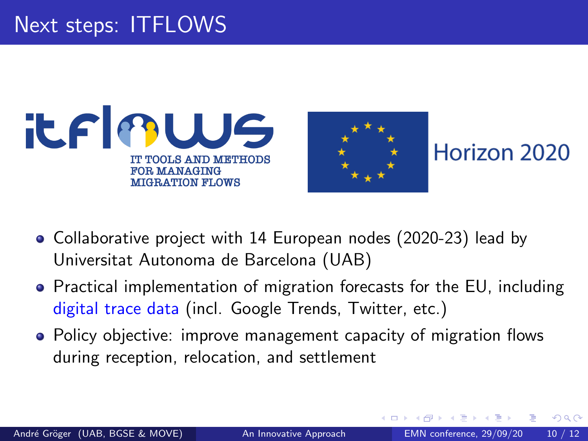



Horizon 2020

- Collaborative project with 14 European nodes (2020-23) lead by Universitat Autonoma de Barcelona (UAB)
- Practical implementation of migration forecasts for the EU, including digital trace data (incl. Google Trends, Twitter, etc.)
- Policy objective: improve management capacity of migration flows during reception, relocation, and settlement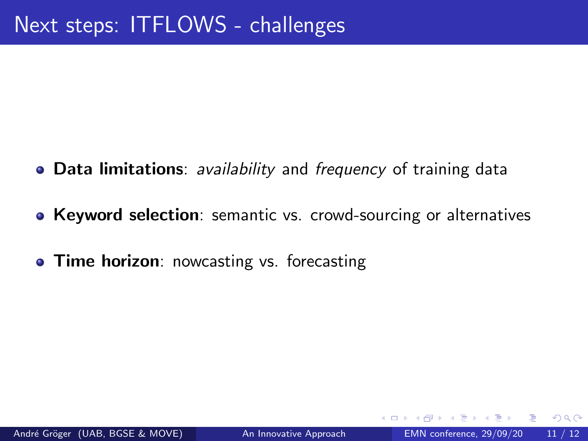- Data limitations: *availability* and *frequency* of training data
- Keyword selection: semantic vs. crowd-sourcing or alternatives
- **Time horizon**: nowcasting vs. forecasting

 $\Omega$